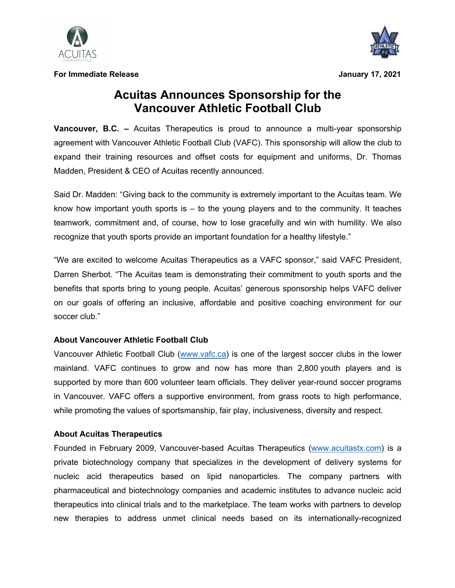

**For Immediate Release January 17, 2021**



## **Acuitas Announces Sponsorship for the Vancouver Athletic Football Club**

**Vancouver, B.C. –** Acuitas Therapeutics is proud to announce a multi-year sponsorship agreement with Vancouver Athletic Football Club (VAFC). This sponsorship will allow the club to expand their training resources and offset costs for equipment and uniforms, Dr. Thomas Madden, President & CEO of Acuitas recently announced.

Said Dr. Madden: "Giving back to the community is extremely important to the Acuitas team. We know how important youth sports is  $-$  to the young players and to the community. It teaches teamwork, commitment and, of course, how to lose gracefully and win with humility. We also recognize that youth sports provide an important foundation for a healthy lifestyle."

"We are excited to welcome Acuitas Therapeutics as a VAFC sponsor," said VAFC President, Darren Sherbot. "The Acuitas team is demonstrating their commitment to youth sports and the benefits that sports bring to young people. Acuitas' generous sponsorship helps VAFC deliver on our goals of offering an inclusive, affordable and positive coaching environment for our soccer club."

## **About Vancouver Athletic Football Club**

Vancouver Athletic Football Club (www.vafc.ca) is one of the largest soccer clubs in the lower mainland. VAFC continues to grow and now has more than 2,800 youth players and is supported by more than 600 volunteer team officials. They deliver year-round soccer programs in Vancouver. VAFC offers a supportive environment, from grass roots to high performance, while promoting the values of sportsmanship, fair play, inclusiveness, diversity and respect.

## **About Acuitas Therapeutics**

Founded in February 2009, Vancouver-based Acuitas Therapeutics (www.acuitastx.com) is a private biotechnology company that specializes in the development of delivery systems for nucleic acid therapeutics based on lipid nanoparticles. The company partners with pharmaceutical and biotechnology companies and academic institutes to advance nucleic acid therapeutics into clinical trials and to the marketplace. The team works with partners to develop new therapies to address unmet clinical needs based on its internationally-recognized